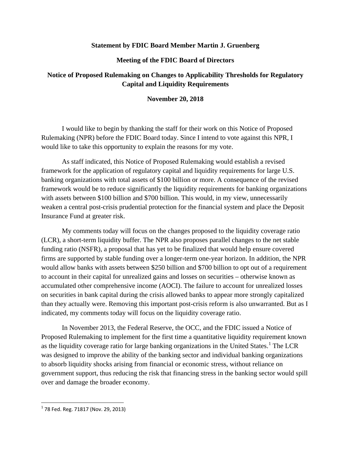## **Statement by FDIC Board Member Martin J. Gruenberg**

## **Meeting of the FDIC Board of Directors**

## **Notice of Proposed Rulemaking on Changes to Applicability Thresholds for Regulatory Capital and Liquidity Requirements**

## **November 20, 2018**

I would like to begin by thanking the staff for their work on this Notice of Proposed Rulemaking (NPR) before the FDIC Board today. Since I intend to vote against this NPR, I would like to take this opportunity to explain the reasons for my vote.

As staff indicated, this Notice of Proposed Rulemaking would establish a revised framework for the application of regulatory capital and liquidity requirements for large U.S. banking organizations with total assets of \$100 billion or more. A consequence of the revised framework would be to reduce significantly the liquidity requirements for banking organizations with assets between \$100 billion and \$700 billion. This would, in my view, unnecessarily weaken a central post-crisis prudential protection for the financial system and place the Deposit Insurance Fund at greater risk.

My comments today will focus on the changes proposed to the liquidity coverage ratio (LCR), a short-term liquidity buffer. The NPR also proposes parallel changes to the net stable funding ratio (NSFR), a proposal that has yet to be finalized that would help ensure covered firms are supported by stable funding over a longer-term one-year horizon. In addition, the NPR would allow banks with assets between \$250 billion and \$700 billion to opt out of a requirement to account in their capital for unrealized gains and losses on securities – otherwise known as accumulated other comprehensive income (AOCI). The failure to account for unrealized losses on securities in bank capital during the crisis allowed banks to appear more strongly capitalized than they actually were. Removing this important post-crisis reform is also unwarranted. But as I indicated, my comments today will focus on the liquidity coverage ratio.

In November 2013, the Federal Reserve, the OCC, and the FDIC issued a Notice of Proposed Rulemaking to implement for the first time a quantitative liquidity requirement known as the liquidity coverage ratio for large banking organizations in the United States.<sup>[1](#page-0-0)</sup> The LCR was designed to improve the ability of the banking sector and individual banking organizations to absorb liquidity shocks arising from financial or economic stress, without reliance on government support, thus reducing the risk that financing stress in the banking sector would spill over and damage the broader economy.

<span id="page-0-0"></span> <sup>1</sup> 78 Fed. Reg. 71817 (Nov. 29, 2013)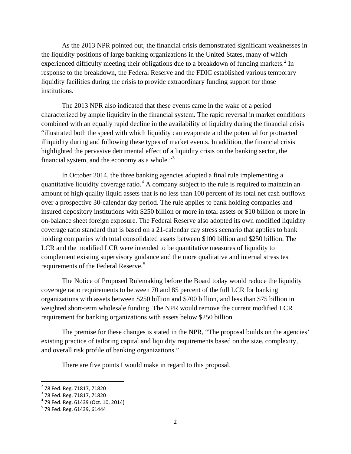As the 2013 NPR pointed out, the financial crisis demonstrated significant weaknesses in the liquidity positions of large banking organizations in the United States, many of which experienced difficulty meeting their obligations due to a breakdown of funding markets.<sup>[2](#page-1-0)</sup> In response to the breakdown, the Federal Reserve and the FDIC established various temporary liquidity facilities during the crisis to provide extraordinary funding support for those institutions.

The 2013 NPR also indicated that these events came in the wake of a period characterized by ample liquidity in the financial system. The rapid reversal in market conditions combined with an equally rapid decline in the availability of liquidity during the financial crisis "illustrated both the speed with which liquidity can evaporate and the potential for protracted illiquidity during and following these types of market events. In addition, the financial crisis highlighted the pervasive detrimental effect of a liquidity crisis on the banking sector, the financial system, and the economy as a whole."<sup>[3](#page-1-1)</sup>

In October 2014, the three banking agencies adopted a final rule implementing a quantitative liquidity coverage ratio.<sup>[4](#page-1-2)</sup> A company subject to the rule is required to maintain an amount of high quality liquid assets that is no less than 100 percent of its total net cash outflows over a prospective 30-calendar day period. The rule applies to bank holding companies and insured depository institutions with \$250 billion or more in total assets or \$10 billion or more in on-balance sheet foreign exposure. The Federal Reserve also adopted its own modified liquidity coverage ratio standard that is based on a 21-calendar day stress scenario that applies to bank holding companies with total consolidated assets between \$100 billion and \$250 billion. The LCR and the modified LCR were intended to be quantitative measures of liquidity to complement existing supervisory guidance and the more qualitative and internal stress test requirements of the Federal Reserve.<sup>[5](#page-1-3)</sup>

The Notice of Proposed Rulemaking before the Board today would reduce the liquidity coverage ratio requirements to between 70 and 85 percent of the full LCR for banking organizations with assets between \$250 billion and \$700 billion, and less than \$75 billion in weighted short-term wholesale funding. The NPR would remove the current modified LCR requirement for banking organizations with assets below \$250 billion.

The premise for these changes is stated in the NPR, "The proposal builds on the agencies' existing practice of tailoring capital and liquidity requirements based on the size, complexity, and overall risk profile of banking organizations."

There are five points I would make in regard to this proposal.

<span id="page-1-2"></span><span id="page-1-1"></span>

<span id="page-1-0"></span><sup>&</sup>lt;sup>2</sup> 78 Fed. Reg. 71817, 71820<br><sup>3</sup> 78 Fed. Reg. 71817, 71820<br><sup>4</sup> 79 Fed. Reg. 61439 (Oct. 10, 2014)<br><sup>5</sup> 79 Fed. Reg. 61439, 61444

<span id="page-1-3"></span>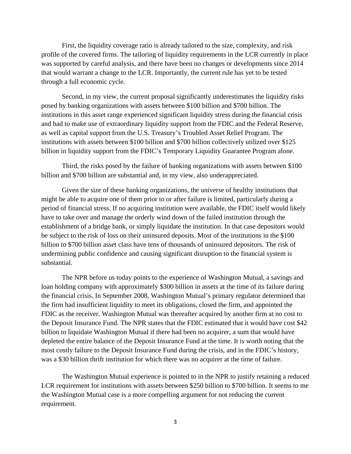First, the liquidity coverage ratio is already tailored to the size, complexity, and risk profile of the covered firms. The tailoring of liquidity requirements in the LCR currently in place was supported by careful analysis, and there have been no changes or developments since 2014 that would warrant a change to the LCR. Importantly, the current rule has yet to be tested through a full economic cycle.

Second, in my view, the current proposal significantly underestimates the liquidity risks posed by banking organizations with assets between \$100 billion and \$700 billion. The institutions in this asset range experienced significant liquidity stress during the financial crisis and had to make use of extraordinary liquidity support from the FDIC and the Federal Reserve, as well as capital support from the U.S. Treasury's Troubled Asset Relief Program. The institutions with assets between \$100 billion and \$700 billion collectively utilized over \$125 billion in liquidity support from the FDIC's Temporary Liquidity Guarantee Program alone.

Third, the risks posed by the failure of banking organizations with assets between \$100 billion and \$700 billion are substantial and, in my view, also underappreciated.

Given the size of these banking organizations, the universe of healthy institutions that might be able to acquire one of them prior to or after failure is limited, particularly during a period of financial stress. If no acquiring institution were available, the FDIC itself would likely have to take over and manage the orderly wind down of the failed institution through the establishment of a bridge bank, or simply liquidate the institution. In that case depositors would be subject to the risk of loss on their uninsured deposits. Most of the institutions in the \$100 billion to \$700 billion asset class have tens of thousands of uninsured depositors. The risk of undermining public confidence and causing significant disruption to the financial system is substantial.

The NPR before us today points to the experience of Washington Mutual, a savings and loan holding company with approximately \$300 billion in assets at the time of its failure during the financial crisis. In September 2008, Washington Mutual's primary regulator determined that the firm had insufficient liquidity to meet its obligations, closed the firm, and appointed the FDIC as the receiver. Washington Mutual was thereafter acquired by another firm at no cost to the Deposit Insurance Fund. The NPR states that the FDIC estimated that it would have cost \$42 billion to liquidate Washington Mutual if there had been no acquirer, a sum that would have depleted the entire balance of the Deposit Insurance Fund at the time. It is worth noting that the most costly failure to the Deposit Insurance Fund during the crisis, and in the FDIC's history, was a \$30 billion thrift institution for which there was no acquirer at the time of failure.

The Washington Mutual experience is pointed to in the NPR to justify retaining a reduced LCR requirement for institutions with assets between \$250 billion to \$700 billion. It seems to me the Washington Mutual case is a more compelling argument for not reducing the current requirement.